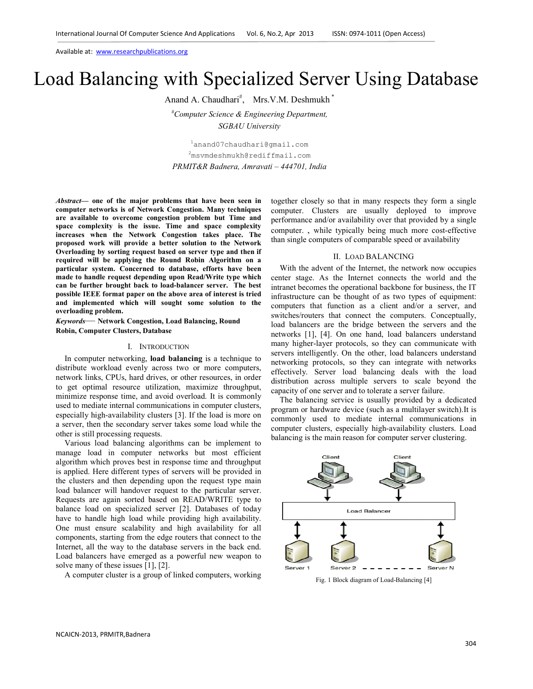Available at: www.researchpublications.org

# Load Balancing with Specialized Server Using Database

Anand A. Chaudhari<sup>#</sup>, Mrs.V.M. Deshmukh<sup>\*</sup>

*#Computer Science & Engineering Department, SGBAU University* 

<sup>1</sup>anand07chaudhari@gmail.com <sup>2</sup>msvmdeshmukh@rediffmail.com *PRMIT&R Badnera, Amravati – 444701, India* 

*Abstract***— one of the major problems that have been seen in computer networks is of Network Congestion. Many techniques are available to overcome congestion problem but Time and space complexity is the issue. Time and space complexity increases when the Network Congestion takes place. The proposed work will provide a better solution to the Network Overloading by sorting request based on server type and then if required will be applying the Round Robin Algorithm on a particular system. Concerned to database, efforts have been made to handle request depending upon Read/Write type which can be further brought back to load-balancer server. The best possible IEEE format paper on the above area of interest is tried and implemented which will sought some solution to the overloading problem.** 

*Keywords*— **Network Congestion, Load Balancing, Round Robin, Computer Clusters, Database**

#### I. INTRODUCTION

In computer networking, **load balancing** is a technique to distribute workload evenly across two or more computers, network links, CPUs, hard drives, or other resources, in order to get optimal resource utilization, maximize throughput, minimize response time, and avoid overload. It is commonly used to mediate internal communications in computer clusters, especially high-availability clusters [3]. If the load is more on a server, then the secondary server takes some load while the other is still processing requests.

Various load balancing algorithms can be implement to manage load in computer networks but most efficient algorithm which proves best in response time and throughput is applied. Here different types of servers will be provided in the clusters and then depending upon the request type main load balancer will handover request to the particular server. Requests are again sorted based on READ/WRITE type to balance load on specialized server [2]. Databases of today have to handle high load while providing high availability. One must ensure scalability and high availability for all components, starting from the edge routers that connect to the Internet, all the way to the database servers in the back end. Load balancers have emerged as a powerful new weapon to solve many of these issues [1], [2].

A computer cluster is a group of linked computers, working

together closely so that in many respects they form a single computer. Clusters are usually deployed to improve performance and/or availability over that provided by a single computer. , while typically being much more cost-effective than single computers of comparable speed or availability

## II. LOAD BALANCING

With the advent of the Internet, the network now occupies center stage. As the Internet connects the world and the intranet becomes the operational backbone for business, the IT infrastructure can be thought of as two types of equipment: computers that function as a client and/or a server, and switches/routers that connect the computers. Conceptually, load balancers are the bridge between the servers and the networks [1], [4]. On one hand, load balancers understand many higher-layer protocols, so they can communicate with servers intelligently. On the other, load balancers understand networking protocols, so they can integrate with networks effectively. Server load balancing deals with the load distribution across multiple servers to scale beyond the capacity of one server and to tolerate a server failure.

The balancing service is usually provided by a dedicated program or hardware device (such as a multilayer switch).It is commonly used to mediate internal communications in computer clusters, especially high-availability clusters. Load balancing is the main reason for computer server clustering.



Fig. 1 Block diagram of Load-Balancing [4]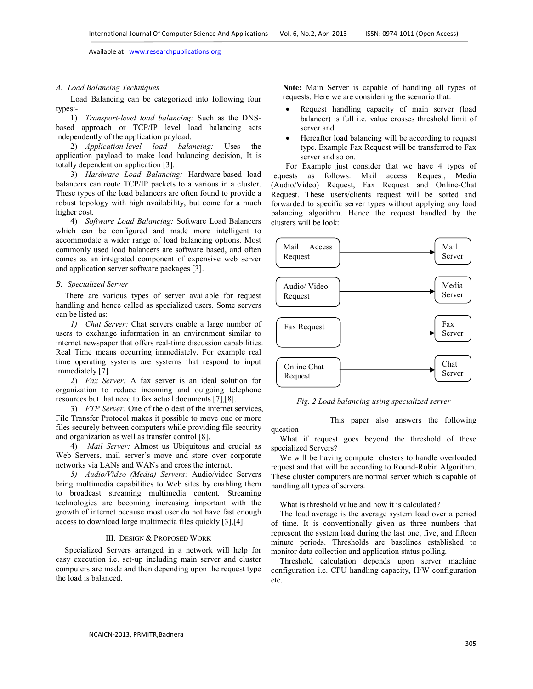question

Available at: www.researchpublications.org

## *A. Load Balancing Techniques*

Load Balancing can be categorized into following four types:-

1) *Transport-level load balancing:* Such as the DNSbased approach or TCP/IP level load balancing acts independently of the application payload.

2) *Application-level load balancing:* Uses the application payload to make load balancing decision, It is totally dependent on application [3].

3) *Hardware Load Balancing:* Hardware-based load balancers can route TCP/IP packets to a various in a cluster. These types of the load balancers are often found to provide a robust topology with high availability, but come for a much higher cost.

4) *Software Load Balancing:* Software Load Balancers which can be configured and made more intelligent to accommodate a wider range of load balancing options. Most commonly used load balancers are software based, and often comes as an integrated component of expensive web server and application server software packages [3].

#### *B. Specialized Server*

There are various types of server available for request handling and hence called as specialized users. Some servers can be listed as:

*1) Chat Server:* Chat servers enable a large number of users to exchange information in an environment similar to internet newspaper that offers real-time discussion capabilities. Real Time means occurring immediately. For example real time operating systems are systems that respond to input immediately [7]*.* 

2) *Fax Server:* A fax server is an ideal solution for organization to reduce incoming and outgoing telephone resources but that need to fax actual documents [7],[8].

3) *FTP Server:* One of the oldest of the internet services, File Transfer Protocol makes it possible to move one or more files securely between computers while providing file security and organization as well as transfer control [8].

4) *Mail Server:* Almost us Ubiquitous and crucial as Web Servers, mail server's move and store over corporate networks via LANs and WANs and cross the internet.

*5) Audio/Video (Media) Servers:* Audio/video Servers bring multimedia capabilities to Web sites by enabling them to broadcast streaming multimedia content. Streaming technologies are becoming increasing important with the growth of internet because most user do not have fast enough access to download large multimedia files quickly [3],[4].

## III. DESIGN & PROPOSED WORK

Specialized Servers arranged in a network will help for easy execution i.e. set-up including main server and cluster computers are made and then depending upon the request type the load is balanced.

**Note:** Main Server is capable of handling all types of requests. Here we are considering the scenario that:

- Request handling capacity of main server (load balancer) is full i.e. value crosses threshold limit of server and
- Hereafter load balancing will be according to request type. Example Fax Request will be transferred to Fax server and so on.

For Example just consider that we have 4 types of requests as follows: Mail access Request, Media (Audio/Video) Request, Fax Request and Online-Chat Request. These users/clients request will be sorted and forwarded to specific server types without applying any load balancing algorithm. Hence the request handled by the clusters will be look:



*Fig. 2 Load balancing using specialized server* 

This paper also answers the following

What if request goes beyond the threshold of these specialized Servers?

We will be having computer clusters to handle overloaded request and that will be according to Round-Robin Algorithm. These cluster computers are normal server which is capable of handling all types of servers.

What is threshold value and how it is calculated?

The load average is the average system load over a period of time. It is conventionally given as three numbers that represent the system load during the last one, five, and fifteen minute periods. Thresholds are baselines established to monitor data collection and application status polling.

Threshold calculation depends upon server machine configuration i.e. CPU handling capacity, H/W configuration etc.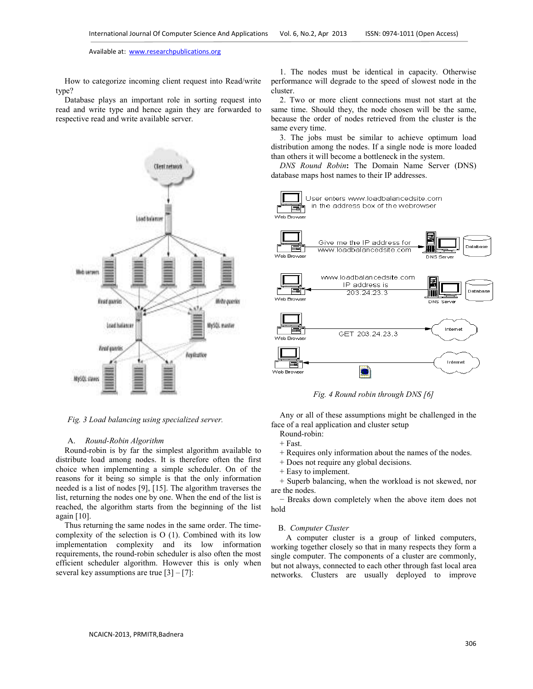Available at: www.researchpublications.org

How to categorize incoming client request into Read/write type?

Database plays an important role in sorting request into read and write type and hence again they are forwarded to respective read and write available server.



*Fig. 3 Load balancing using specialized server.* 

# A. *Round-Robin Algorithm*

Round-robin is by far the simplest algorithm available to distribute load among nodes. It is therefore often the first choice when implementing a simple scheduler. On of the reasons for it being so simple is that the only information needed is a list of nodes [9], [15]. The algorithm traverses the list, returning the nodes one by one. When the end of the list is reached, the algorithm starts from the beginning of the list again [10].

Thus returning the same nodes in the same order. The timecomplexity of the selection is O (1). Combined with its low implementation complexity and its low information requirements, the round-robin scheduler is also often the most efficient scheduler algorithm. However this is only when several key assumptions are true  $[3] - [7]$ :

1. The nodes must be identical in capacity. Otherwise performance will degrade to the speed of slowest node in the cluster.

2. Two or more client connections must not start at the same time. Should they, the node chosen will be the same, because the order of nodes retrieved from the cluster is the same every time.

3. The jobs must be similar to achieve optimum load distribution among the nodes. If a single node is more loaded than others it will become a bottleneck in the system.

*DNS Round Robin***:** The Domain Name Server (DNS) database maps host names to their IP addresses.



*Fig. 4 Round robin through DNS [6]*

Any or all of these assumptions might be challenged in the face of a real application and cluster setup

- Round-robin:
- + Fast.

+ Requires only information about the names of the nodes.

- + Does not require any global decisions.
- + Easy to implement.

+ Superb balancing, when the workload is not skewed, nor are the nodes.

− Breaks down completely when the above item does not hold

#### B. *Computer Cluster*

 A computer cluster is a group of linked computers, working together closely so that in many respects they form a single computer. The components of a cluster are commonly, but not always, connected to each other through fast local area networks. Clusters are usually deployed to improve